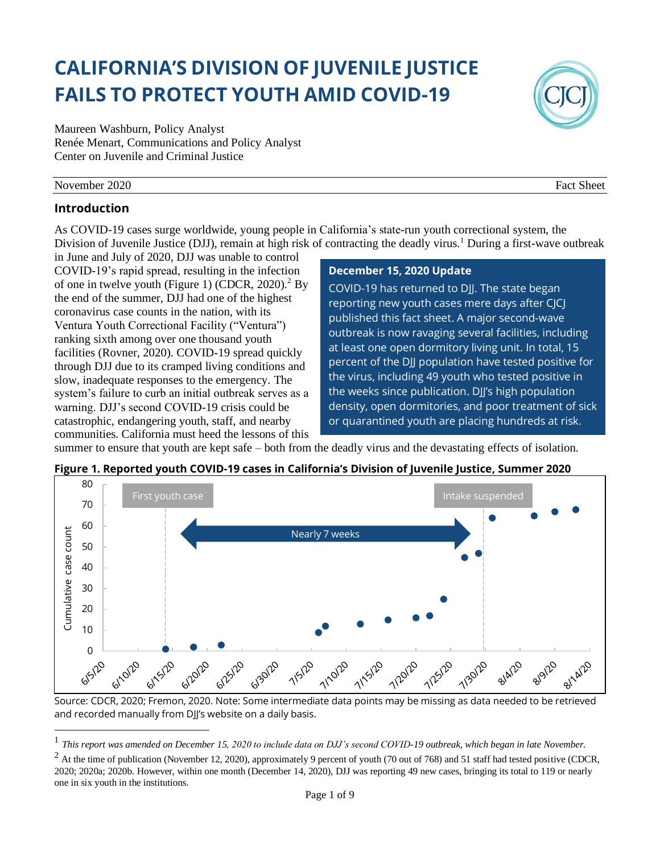# **CALIFORNIA'S DIVISION OF JUVENILE JUSTICE FAILS TO PROTECT YOUTH AMID COVID-19**

Maureen Washburn, Policy Analyst Renée Menart, Communications and Policy Analyst Center on Juvenile and Criminal Justice

#### November 2020 Fact Sheet

## **Introduction**

As COVID-19 cases surge worldwide, young people in California's state-run youth correctional system, the Division of Juvenile Justice (DJJ), remain at high risk of contracting the deadly virus.<sup>1</sup> During a first-wave outbreak

in June and July of 2020, DJJ was unable to control COVID-19's rapid spread, resulting in the infection of one in twelve youth (Figure 1) (CDCR,  $2020$ ).<sup>2</sup> By the end of the summer, DJJ had one of the highest coronavirus case counts in the nation, with its Ventura Youth Correctional Facility ("Ventura") ranking sixth among over one thousand youth facilities (Rovner, 2020). COVID-19 spread quickly through DJJ due to its cramped living conditions and slow, inadequate responses to the emergency. The system's failure to curb an initial outbreak serves as a warning. DJJ's second COVID-19 crisis could be catastrophic, endangering youth, staff, and nearby communities. California must heed the lessons of this

#### **December 15, 2020 Update**

COVID-19 has returned to DJJ. The state began reporting new youth cases mere days after CJCJ published this fact sheet. A major second-wave outbreak is now ravaging several facilities, including at least one open dormitory living unit. In total, 15 percent of the DJJ population have tested positive for the virus, including 49 youth who tested positive in the weeks since publication. DJJ's high population density, open dormitories, and poor treatment of sick or quarantined youth are placing hundreds at risk.

summer to ensure that youth are kept safe – both from the deadly virus and the devastating effects of isolation. **Figure 1. Reported youth COVID-19 cases in California's Division of Juvenile Justice, Summer 2020**



Source: CDCR, 2020; Fremon, 2020. Note: Some intermediate data points may be missing as data needed to be retrieved and recorded manually from DJJ's website on a daily basis.



<sup>1</sup> *This report was amended on December 15, 2020 to include data on DJJ's second COVID-19 outbreak, which began in late November.*

 $^{2}$  At the time of publication (November 12, 2020), approximately 9 percent of youth (70 out of 768) and 51 staff had tested positive (CDCR, 2020; 2020a; 2020b. However, within one month (December 14, 2020), DJJ was reporting 49 new cases, bringing its total to 119 or nearly one in six youth in the institutions.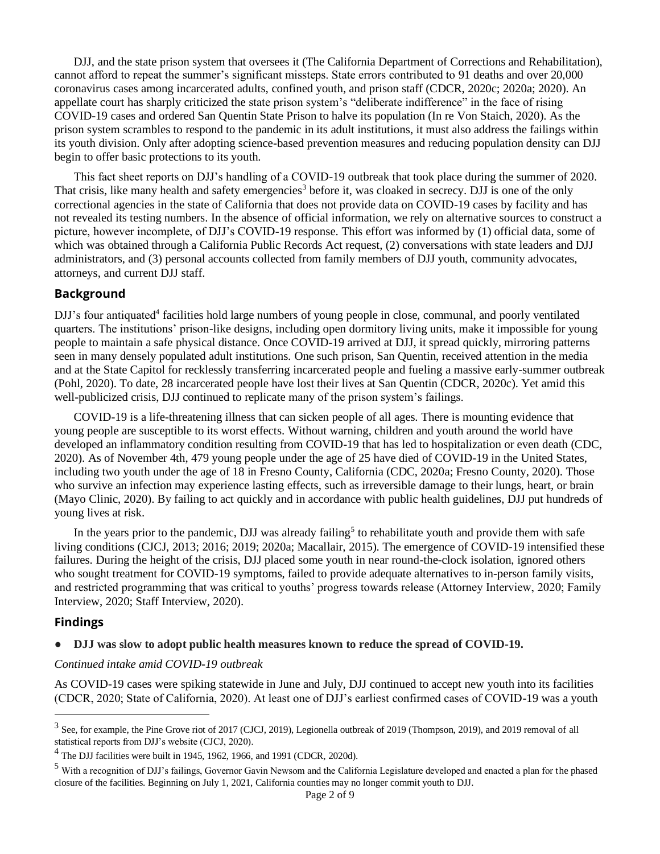DJJ, and the state prison system that oversees it (The California Department of Corrections and Rehabilitation), cannot afford to repeat the summer's significant missteps. State errors contributed to 91 deaths and over 20,000 coronavirus cases among incarcerated adults, confined youth, and prison staff (CDCR, 2020c; 2020a; 2020). An appellate court has sharply criticized the state prison system's "deliberate indifference" in the face of rising COVID-19 cases and ordered San Quentin State Prison to halve its population (In re Von Staich, 2020). As the prison system scrambles to respond to the pandemic in its adult institutions, it must also address the failings within its youth division. Only after adopting science-based prevention measures and reducing population density can DJJ begin to offer basic protections to its youth.

This fact sheet reports on DJJ's handling of a COVID-19 outbreak that took place during the summer of 2020. That crisis, like many health and safety emergencies<sup>3</sup> before it, was cloaked in secrecy. DJJ is one of the only correctional agencies in the state of California that does not provide data on COVID-19 cases by facility and has not revealed its testing numbers. In the absence of official information, we rely on alternative sources to construct a picture, however incomplete, of DJJ's COVID-19 response. This effort was informed by (1) official data, some of which was obtained through a California Public Records Act request, (2) conversations with state leaders and DJJ administrators, and (3) personal accounts collected from family members of DJJ youth, community advocates, attorneys, and current DJJ staff.

## **Background**

DJJ's four antiquated<sup>4</sup> facilities hold large numbers of young people in close, communal, and poorly ventilated quarters. The institutions' prison-like designs, including open dormitory living units, make it impossible for young people to maintain a safe physical distance. Once COVID-19 arrived at DJJ, it spread quickly, mirroring patterns seen in many densely populated adult institutions. One such prison, San Quentin, received attention in the media and at the State Capitol for recklessly transferring incarcerated people and fueling a massive early-summer outbreak (Pohl, 2020). To date, 28 incarcerated people have lost their lives at San Quentin (CDCR, 2020c). Yet amid this well-publicized crisis, DJJ continued to replicate many of the prison system's failings.

COVID-19 is a life-threatening illness that can sicken people of all ages. There is mounting evidence that young people are susceptible to its worst effects. Without warning, children and youth around the world have developed an inflammatory condition resulting from COVID-19 that has led to hospitalization or even death (CDC, 2020). As of November 4th, 479 young people under the age of 25 have died of COVID-19 in the United States, including two youth under the age of 18 in Fresno County, California (CDC, 2020a; Fresno County, 2020). Those who survive an infection may experience lasting effects, such as irreversible damage to their lungs, heart, or brain (Mayo Clinic, 2020). By failing to act quickly and in accordance with public health guidelines, DJJ put hundreds of young lives at risk.

In the years prior to the pandemic, DJJ was already failing<sup>5</sup> to rehabilitate youth and provide them with safe living conditions (CJCJ, 2013; 2016; 2019; 2020a; Macallair, 2015). The emergence of COVID-19 intensified these failures. During the height of the crisis, DJJ placed some youth in near round-the-clock isolation, ignored others who sought treatment for COVID-19 symptoms, failed to provide adequate alternatives to in-person family visits, and restricted programming that was critical to youths' progress towards release (Attorney Interview, 2020; Family Interview, 2020; Staff Interview, 2020).

## **Findings**

## ● **DJJ was slow to adopt public health measures known to reduce the spread of COVID-19.**

#### *Continued intake amid COVID-19 outbreak*

As COVID-19 cases were spiking statewide in June and July, DJJ continued to accept new youth into its facilities (CDCR, 2020; State of California, 2020). At least one of DJJ's earliest confirmed cases of COVID-19 was a youth

<sup>3</sup> See, for example, the Pine Grove riot of 2017 (CJCJ, 2019), Legionella outbreak of 2019 (Thompson, 2019), and 2019 removal of all statistical reports from DJJ's website (CJCJ, 2020).

<sup>4</sup> The DJJ facilities were built in 1945, 1962, 1966, and 1991 (CDCR, 2020d).

<sup>5</sup> With a recognition of DJJ's failings, Governor Gavin Newsom and the California Legislature developed and enacted a plan for the phased closure of the facilities. Beginning on July 1, 2021, California counties may no longer commit youth to DJJ.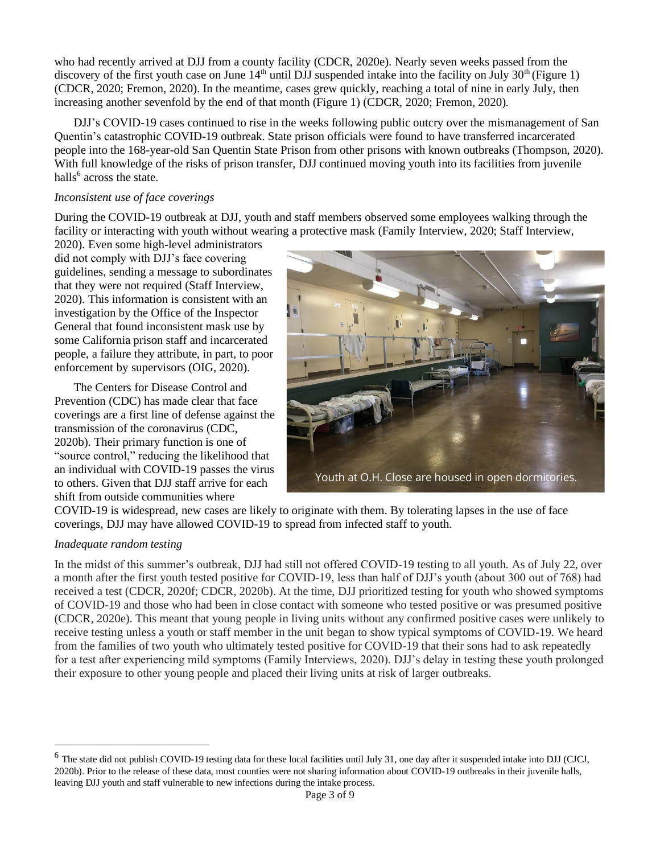who had recently arrived at DJJ from a county facility (CDCR, 2020e). Nearly seven weeks passed from the discovery of the first youth case on June  $14<sup>th</sup>$  until DJJ suspended intake into the facility on July 30<sup>th</sup> (Figure 1) (CDCR, 2020; Fremon, 2020). In the meantime, cases grew quickly, reaching a total of nine in early July, then increasing another sevenfold by the end of that month (Figure 1) (CDCR, 2020; Fremon, 2020).

DJJ's COVID-19 cases continued to rise in the weeks following public outcry over the mismanagement of San Quentin's catastrophic COVID-19 outbreak. State prison officials were found to have transferred incarcerated people into the 168-year-old San Quentin State Prison from other prisons with known outbreaks (Thompson, 2020). With full knowledge of the risks of prison transfer, DJJ continued moving youth into its facilities from juvenile halls<sup>6</sup> across the state.

#### *Inconsistent use of face coverings*

During the COVID-19 outbreak at DJJ, youth and staff members observed some employees walking through the facility or interacting with youth without wearing a protective mask (Family Interview, 2020; Staff Interview,

2020). Even some high-level administrators did not comply with DJJ's face covering guidelines, sending a message to subordinates that they were not required (Staff Interview, 2020). This information is consistent with an investigation by the Office of the Inspector General that found inconsistent mask use by some California prison staff and incarcerated people, a failure they attribute, in part, to poor enforcement by supervisors (OIG, 2020).

The Centers for Disease Control and Prevention (CDC) has made clear that face coverings are a first line of defense against the transmission of the coronavirus (CDC, 2020b). Their primary function is one of "source control," reducing the likelihood that an individual with COVID-19 passes the virus to others. Given that DJJ staff arrive for each shift from outside communities where



COVID-19 is widespread, new cases are likely to originate with them. By tolerating lapses in the use of face coverings, DJJ may have allowed COVID-19 to spread from infected staff to youth.

## *Inadequate random testing*

In the midst of this summer's outbreak, DJJ had still not offered COVID-19 testing to all youth. As of July 22, over a month after the first youth tested positive for COVID-19, less than half of DJJ's youth (about 300 out of 768) had received a test (CDCR, 2020f; CDCR, 2020b). At the time, DJJ prioritized testing for youth who showed symptoms of COVID-19 and those who had been in close contact with someone who tested positive or was presumed positive (CDCR, 2020e). This meant that young people in living units without any confirmed positive cases were unlikely to receive testing unless a youth or staff member in the unit began to show typical symptoms of COVID-19. We heard from the families of two youth who ultimately tested positive for COVID-19 that their sons had to ask repeatedly for a test after experiencing mild symptoms (Family Interviews, 2020). DJJ's delay in testing these youth prolonged their exposure to other young people and placed their living units at risk of larger outbreaks.

 $^6$  The state did not publish COVID-19 testing data for these local facilities until July 31, one day after it suspended intake into DJJ (CJCJ, 2020b). Prior to the release of these data, most counties were not sharing information about COVID-19 outbreaks in their juvenile halls, leaving DJJ youth and staff vulnerable to new infections during the intake process.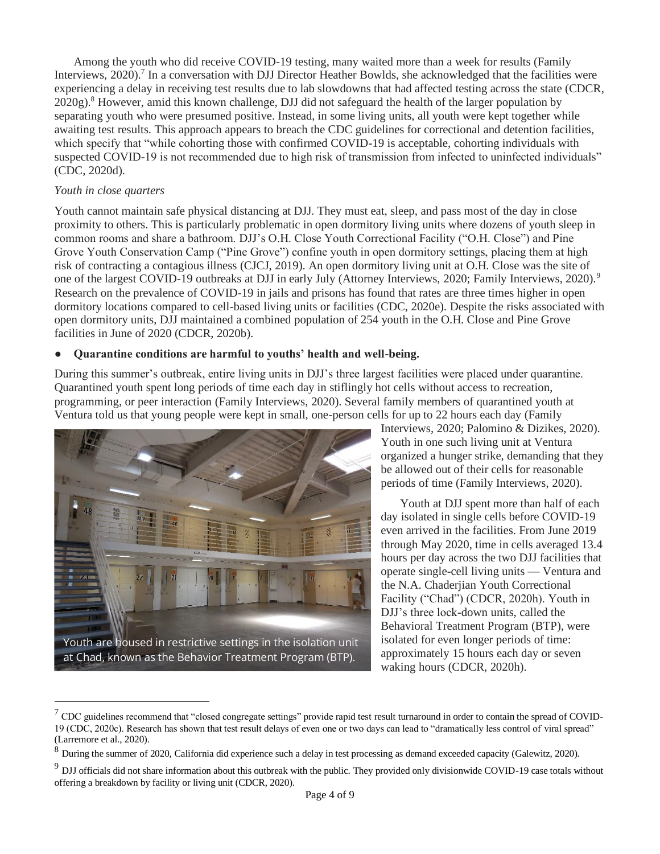Among the youth who did receive COVID-19 testing, many waited more than a week for results (Family Interviews,  $2020$ .<sup>7</sup> In a conversation with DJJ Director Heather Bowlds, she acknowledged that the facilities were experiencing a delay in receiving test results due to lab slowdowns that had affected testing across the state (CDCR,  $2020g$ ).<sup>8</sup> However, amid this known challenge, DJJ did not safeguard the health of the larger population by separating youth who were presumed positive. Instead, in some living units, all youth were kept together while awaiting test results. This approach appears to breach the CDC guidelines for correctional and detention facilities, which specify that "while cohorting those with confirmed COVID-19 is acceptable, cohorting individuals with suspected COVID-19 is not recommended due to high risk of transmission from infected to uninfected individuals" (CDC, 2020d).

#### *Youth in close quarters*

Youth cannot maintain safe physical distancing at DJJ. They must eat, sleep, and pass most of the day in close proximity to others. This is particularly problematic in open dormitory living units where dozens of youth sleep in common rooms and share a bathroom. DJJ's O.H. Close Youth Correctional Facility ("O.H. Close") and Pine Grove Youth Conservation Camp ("Pine Grove") confine youth in open dormitory settings, placing them at high risk of contracting a contagious illness (CJCJ, 2019). An open dormitory living unit at O.H. Close was the site of one of the largest COVID-19 outbreaks at DJJ in early July (Attorney Interviews, 2020; Family Interviews, 2020).<sup>9</sup> Research on the prevalence of COVID-19 in jails and prisons has found that rates are three times higher in open dormitory locations compared to cell-based living units or facilities (CDC, 2020e). Despite the risks associated with open dormitory units, DJJ maintained a combined population of 254 youth in the O.H. Close and Pine Grove facilities in June of 2020 (CDCR, 2020b).

## ● **Quarantine conditions are harmful to youths' health and well-being.**

During this summer's outbreak, entire living units in DJJ's three largest facilities were placed under quarantine. Quarantined youth spent long periods of time each day in stiflingly hot cells without access to recreation, programming, or peer interaction (Family Interviews, 2020). Several family members of quarantined youth at Ventura told us that young people were kept in small, one-person cells for up to 22 hours each day (Family



Interviews, 2020; Palomino & Dizikes, 2020). Youth in one such living unit at Ventura organized a hunger strike, demanding that they be allowed out of their cells for reasonable periods of time (Family Interviews, 2020).

Youth at DJJ spent more than half of each day isolated in single cells before COVID-19 even arrived in the facilities. From June 2019 through May 2020, time in cells averaged 13.4 hours per day across the two DJJ facilities that operate single-cell living units — Ventura and the N.A. Chaderjian Youth Correctional Facility ("Chad") (CDCR, 2020h). Youth in DJJ's three lock-down units, called the Behavioral Treatment Program (BTP), were isolated for even longer periods of time: approximately 15 hours each day or seven waking hours (CDCR, 2020h).

 $^7$  CDC guidelines recommend that "closed congregate settings" provide rapid test result turnaround in order to contain the spread of COVID-19 (CDC, 2020c). Research has shown that test result delays of even one or two days can lead to "dramatically less control of viral spread" (Larremore et al., 2020).

<sup>&</sup>lt;sup>8</sup> During the summer of 2020, California did experience such a delay in test processing as demand exceeded capacity (Galewitz, 2020).

 $9$  DJJ officials did not share information about this outbreak with the public. They provided only divisionwide COVID-19 case totals without offering a breakdown by facility or living unit (CDCR, 2020).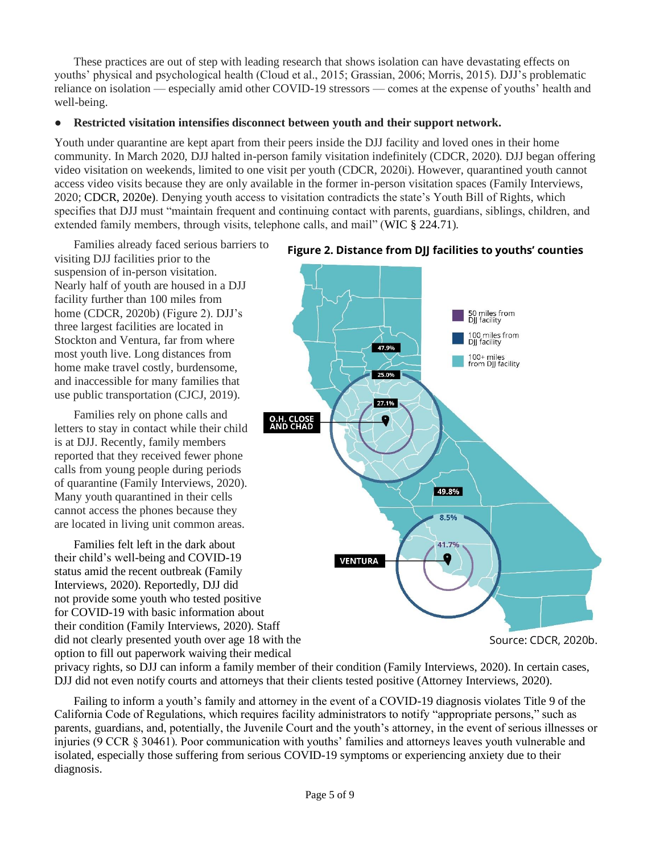These practices are out of step with leading research that shows isolation can have devastating effects on youths' physical and psychological health (Cloud et al., 2015; Grassian, 2006; Morris, 2015). DJJ's problematic reliance on isolation — especially amid other COVID-19 stressors — comes at the expense of youths' health and well-being.

### ● **Restricted visitation intensifies disconnect between youth and their support network.**

Youth under quarantine are kept apart from their peers inside the DJJ facility and loved ones in their home community. In March 2020, DJJ halted in-person family visitation indefinitely (CDCR, 2020). DJJ began offering video visitation on weekends, limited to one visit per youth (CDCR, 2020i). However, quarantined youth cannot access video visits because they are only available in the former in-person visitation spaces (Family Interviews, 2020; CDCR, 2020e). Denying youth access to visitation contradicts the state's Youth Bill of Rights, which specifies that DJJ must "maintain frequent and continuing contact with parents, guardians, siblings, children, and extended family members, through visits, telephone calls, and mail" (WIC § 224.71).

Families already faced serious barriers to visiting DJJ facilities prior to the suspension of in-person visitation. Nearly half of youth are housed in a DJJ facility further than 100 miles from home (CDCR, 2020b) (Figure 2). DJJ's three largest facilities are located in Stockton and Ventura, far from where most youth live. Long distances from home make travel costly, burdensome, and inaccessible for many families that use public transportation (CJCJ, 2019).

Families rely on phone calls and letters to stay in contact while their child is at DJJ. Recently, family members reported that they received fewer phone calls from young people during periods of quarantine (Family Interviews, 2020). Many youth quarantined in their cells cannot access the phones because they are located in living unit common areas.

Families felt left in the dark about their child's well-being and COVID-19 status amid the recent outbreak (Family Interviews, 2020). Reportedly, DJJ did not provide some youth who tested positive for COVID-19 with basic information about their condition (Family Interviews, 2020). Staff did not clearly presented youth over age 18 with the option to fill out paperwork waiving their medical



**Figure 2. Distance from DJJ facilities to youths' counties** 

Source: CDCR, 2020b.

privacy rights, so DJJ can inform a family member of their condition (Family Interviews, 2020). In certain cases, DJJ did not even notify courts and attorneys that their clients tested positive (Attorney Interviews, 2020).

Failing to inform a youth's family and attorney in the event of a COVID-19 diagnosis violates Title 9 of the California Code of Regulations, which requires facility administrators to notify "appropriate persons," such as parents, guardians, and, potentially, the Juvenile Court and the youth's attorney, in the event of serious illnesses or injuries (9 CCR § 30461). Poor communication with youths' families and attorneys leaves youth vulnerable and isolated, especially those suffering from serious COVID-19 symptoms or experiencing anxiety due to their diagnosis.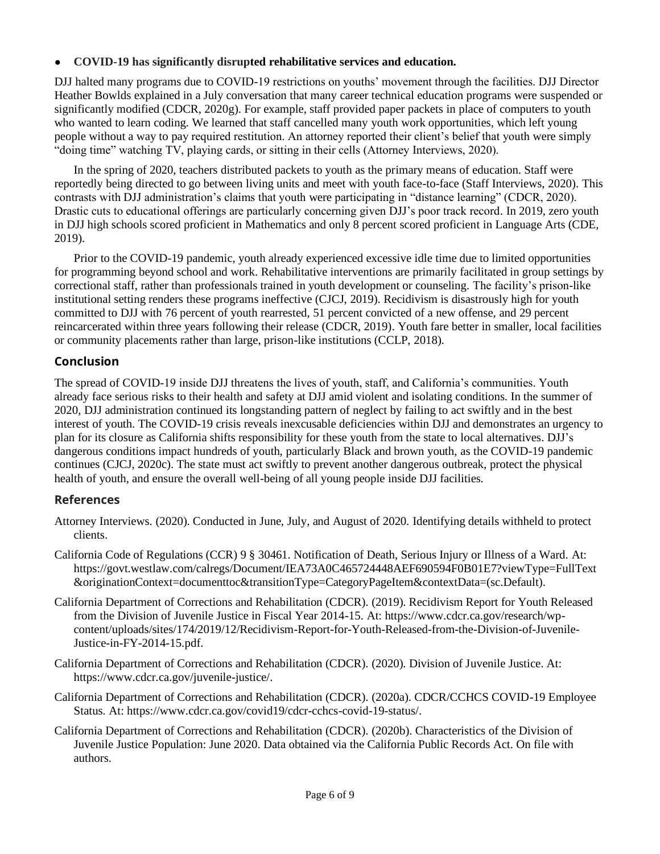## ● **COVID-19 has significantly disrupted rehabilitative services and education.**

DJJ halted many programs due to COVID-19 restrictions on youths' movement through the facilities. DJJ Director Heather Bowlds explained in a July conversation that many career technical education programs were suspended or significantly modified (CDCR, 2020g). For example, staff provided paper packets in place of computers to youth who wanted to learn coding. We learned that staff cancelled many youth work opportunities, which left young people without a way to pay required restitution. An attorney reported their client's belief that youth were simply "doing time" watching TV, playing cards, or sitting in their cells (Attorney Interviews, 2020).

In the spring of 2020, teachers distributed packets to youth as the primary means of education. Staff were reportedly being directed to go between living units and meet with youth face-to-face (Staff Interviews, 2020). This contrasts with DJJ administration's claims that youth were participating in "distance learning" (CDCR, 2020). Drastic cuts to educational offerings are particularly concerning given DJJ's poor track record. In 2019, zero youth in DJJ high schools scored proficient in Mathematics and only 8 percent scored proficient in Language Arts (CDE, 2019).

Prior to the COVID-19 pandemic, youth already experienced excessive idle time due to limited opportunities for programming beyond school and work. Rehabilitative interventions are primarily facilitated in group settings by correctional staff, rather than professionals trained in youth development or counseling. The facility's prison-like institutional setting renders these programs ineffective (CJCJ, 2019). Recidivism is disastrously high for youth committed to DJJ with 76 percent of youth rearrested, 51 percent convicted of a new offense, and 29 percent reincarcerated within three years following their release (CDCR, 2019). Youth fare better in smaller, local facilities or community placements rather than large, prison-like institutions (CCLP, 2018).

# **Conclusion**

The spread of COVID-19 inside DJJ threatens the lives of youth, staff, and California's communities. Youth already face serious risks to their health and safety at DJJ amid violent and isolating conditions. In the summer of 2020, DJJ administration continued its longstanding pattern of neglect by failing to act swiftly and in the best interest of youth. The COVID-19 crisis reveals inexcusable deficiencies within DJJ and demonstrates an urgency to plan for its closure as California shifts responsibility for these youth from the state to local alternatives. DJJ's dangerous conditions impact hundreds of youth, particularly Black and brown youth, as the COVID-19 pandemic continues (CJCJ, 2020c). The state must act swiftly to prevent another dangerous outbreak, protect the physical health of youth, and ensure the overall well-being of all young people inside DJJ facilities.

## **References**

- Attorney Interviews. (2020). Conducted in June, July, and August of 2020. Identifying details withheld to protect clients.
- California Code of Regulations (CCR) 9 § 30461. Notification of Death, Serious Injury or Illness of a Ward. At: https://govt.westlaw.com/calregs/Document/IEA73A0C465724448AEF690594F0B01E7?viewType=FullText &originationContext=documenttoc&transitionType=CategoryPageItem&contextData=(sc.Default).
- California Department of Corrections and Rehabilitation (CDCR). (2019). Recidivism Report for Youth Released from the Division of Juvenile Justice in Fiscal Year 2014-15. At: https://www.cdcr.ca.gov/research/wpcontent/uploads/sites/174/2019/12/Recidivism-Report-for-Youth-Released-from-the-Division-of-Juvenile-Justice-in-FY-2014-15.pdf.
- California Department of Corrections and Rehabilitation (CDCR). (2020). Division of Juvenile Justice. At: https://www.cdcr.ca.gov/juvenile-justice/.
- California Department of Corrections and Rehabilitation (CDCR). (2020a). CDCR/CCHCS COVID-19 Employee Status. At: https://www.cdcr.ca.gov/covid19/cdcr-cchcs-covid-19-status/.
- California Department of Corrections and Rehabilitation (CDCR). (2020b). Characteristics of the Division of Juvenile Justice Population: June 2020. Data obtained via the California Public Records Act. On file with authors.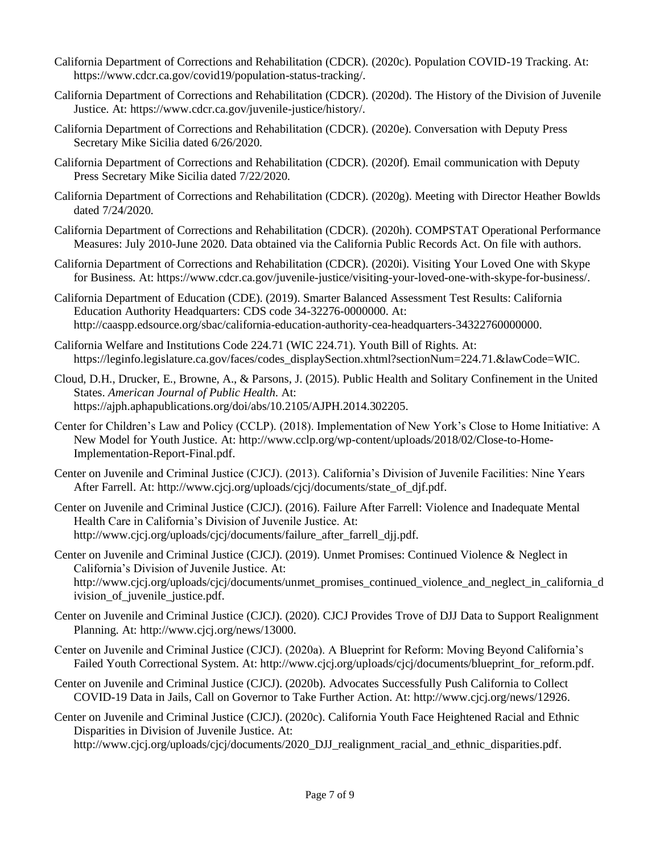- California Department of Corrections and Rehabilitation (CDCR). (2020c). Population COVID-19 Tracking. At: https://www.cdcr.ca.gov/covid19/population-status-tracking/.
- California Department of Corrections and Rehabilitation (CDCR). (2020d). The History of the Division of Juvenile Justice. At: https://www.cdcr.ca.gov/juvenile-justice/history/.
- California Department of Corrections and Rehabilitation (CDCR). (2020e). Conversation with Deputy Press Secretary Mike Sicilia dated 6/26/2020.
- California Department of Corrections and Rehabilitation (CDCR). (2020f). Email communication with Deputy Press Secretary Mike Sicilia dated 7/22/2020.
- California Department of Corrections and Rehabilitation (CDCR). (2020g). Meeting with Director Heather Bowlds dated 7/24/2020.
- California Department of Corrections and Rehabilitation (CDCR). (2020h). COMPSTAT Operational Performance Measures: July 2010-June 2020. Data obtained via the California Public Records Act. On file with authors.
- California Department of Corrections and Rehabilitation (CDCR). (2020i). Visiting Your Loved One with Skype for Business. At: https://www.cdcr.ca.gov/juvenile-justice/visiting-your-loved-one-with-skype-for-business/.
- California Department of Education (CDE). (2019). Smarter Balanced Assessment Test Results: California Education Authority Headquarters: CDS code 34-32276-0000000. At: http://caaspp.edsource.org/sbac/california-education-authority-cea-headquarters-34322760000000.
- California Welfare and Institutions Code 224.71 (WIC 224.71). Youth Bill of Rights. At: https://leginfo.legislature.ca.gov/faces/codes\_displaySection.xhtml?sectionNum=224.71.&lawCode=WIC.
- Cloud, D.H., Drucker, E., Browne, A., & Parsons, J. (2015). Public Health and Solitary Confinement in the United States. *American Journal of Public Health*. At: https://ajph.aphapublications.org/doi/abs/10.2105/AJPH.2014.302205.
- Center for Children's Law and Policy (CCLP). (2018). Implementation of New York's Close to Home Initiative: A New Model for Youth Justice. At: http://www.cclp.org/wp-content/uploads/2018/02/Close-to-Home-Implementation-Report-Final.pdf.
- Center on Juvenile and Criminal Justice (CJCJ). (2013). California's Division of Juvenile Facilities: Nine Years After Farrell. At: http://www.cjcj.org/uploads/cjcj/documents/state\_of\_djf.pdf.
- Center on Juvenile and Criminal Justice (CJCJ). (2016). Failure After Farrell: Violence and Inadequate Mental Health Care in California's Division of Juvenile Justice. At: http://www.cjcj.org/uploads/cjcj/documents/failure after farrell djj.pdf.
- Center on Juvenile and Criminal Justice (CJCJ). (2019). Unmet Promises: Continued Violence & Neglect in California's Division of Juvenile Justice. At: [http://www.cjcj.org/uploads/cjcj/documents/unmet\\_promises\\_continued\\_violence\\_and\\_neglect\\_in\\_california\\_d](http://www.cjcj.org/uploads/cjcj/documents/unmet_promises_continued_violence_and_neglect_in_california_division_of_juvenile_justice.pdf) [ivision\\_of\\_juvenile\\_justice.pdf.](http://www.cjcj.org/uploads/cjcj/documents/unmet_promises_continued_violence_and_neglect_in_california_division_of_juvenile_justice.pdf)
- Center on Juvenile and Criminal Justice (CJCJ). (2020). CJCJ Provides Trove of DJJ Data to Support Realignment Planning. At: [http://www.cjcj.org/news/13000.](http://www.cjcj.org/news/13000)
- Center on Juvenile and Criminal Justice (CJCJ). (2020a). A Blueprint for Reform: Moving Beyond California's Failed Youth Correctional System. At: http://www.cjcj.org/uploads/cjcj/documents/blueprint\_for\_reform.pdf.
- Center on Juvenile and Criminal Justice (CJCJ). (2020b). Advocates Successfully Push California to Collect COVID-19 Data in Jails, Call on Governor to Take Further Action. At: http://www.cjcj.org/news/12926.
- Center on Juvenile and Criminal Justice (CJCJ). (2020c). California Youth Face Heightened Racial and Ethnic Disparities in Division of Juvenile Justice. At:

http://www.cjcj.org/uploads/cjcj/documents/2020\_DJJ\_realignment\_racial\_and\_ethnic\_disparities.pdf.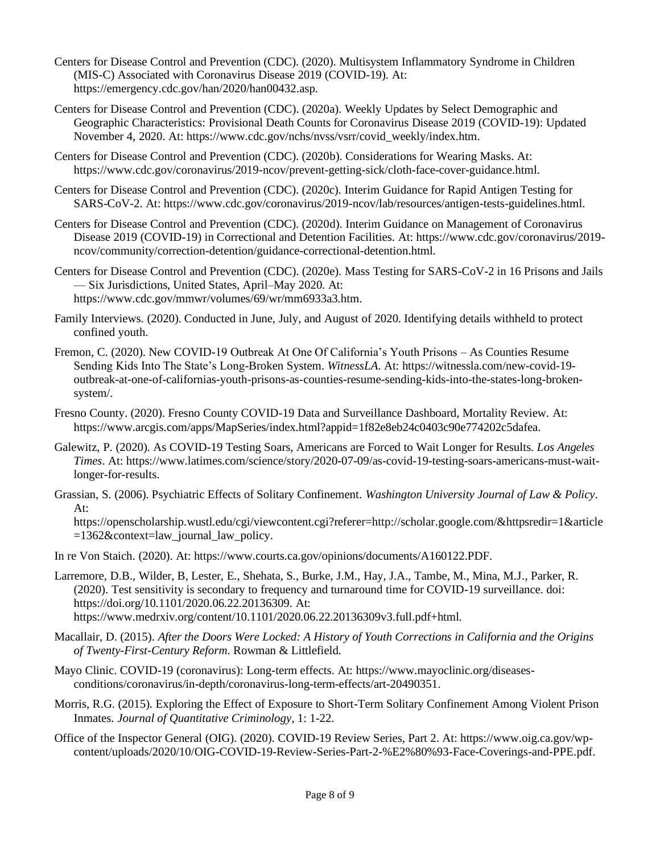- Centers for Disease Control and Prevention (CDC). (2020). Multisystem Inflammatory Syndrome in Children (MIS-C) Associated with Coronavirus Disease 2019 (COVID-19). At: https://emergency.cdc.gov/han/2020/han00432.asp.
- Centers for Disease Control and Prevention (CDC). (2020a). Weekly Updates by Select Demographic and Geographic Characteristics: Provisional Death Counts for Coronavirus Disease 2019 (COVID-19): Updated November 4, 2020. At: https://www.cdc.gov/nchs/nvss/vsrr/covid\_weekly/index.htm.
- Centers for Disease Control and Prevention (CDC). (2020b). Considerations for Wearing Masks. At: https://www.cdc.gov/coronavirus/2019-ncov/prevent-getting-sick/cloth-face-cover-guidance.html.
- Centers for Disease Control and Prevention (CDC). (2020c). Interim Guidance for Rapid Antigen Testing for SARS-CoV-2. At: https://www.cdc.gov/coronavirus/2019-ncov/lab/resources/antigen-tests-guidelines.html.
- Centers for Disease Control and Prevention (CDC). (2020d). Interim Guidance on Management of Coronavirus Disease 2019 (COVID-19) in Correctional and Detention Facilities. At: https://www.cdc.gov/coronavirus/2019 ncov/community/correction-detention/guidance-correctional-detention.html.
- Centers for Disease Control and Prevention (CDC). (2020e). Mass Testing for SARS-CoV-2 in 16 Prisons and Jails — Six Jurisdictions, United States, April–May 2020. At: https://www.cdc.gov/mmwr/volumes/69/wr/mm6933a3.htm.
- Family Interviews. (2020). Conducted in June, July, and August of 2020. Identifying details withheld to protect confined youth.
- Fremon, C. (2020). New COVID-19 Outbreak At One Of California's Youth Prisons As Counties Resume Sending Kids Into The State's Long-Broken System. *WitnessLA*. At: https://witnessla.com/new-covid-19 outbreak-at-one-of-californias-youth-prisons-as-counties-resume-sending-kids-into-the-states-long-brokensystem/.
- Fresno County. (2020). Fresno County COVID-19 Data and Surveillance Dashboard, Mortality Review. At: https://www.arcgis.com/apps/MapSeries/index.html?appid=1f82e8eb24c0403c90e774202c5dafea.
- Galewitz, P. (2020). As COVID-19 Testing Soars, Americans are Forced to Wait Longer for Results. *Los Angeles Times*. At: https://www.latimes.com/science/story/2020-07-09/as-covid-19-testing-soars-americans-must-waitlonger-for-results.
- Grassian, S. (2006). Psychiatric Effects of Solitary Confinement. *Washington University Journal of Law & Policy*. At:

https://openscholarship.wustl.edu/cgi/viewcontent.cgi?referer=http://scholar.google.com/&httpsredir=1&article =1362&context=law\_journal\_law\_policy.

- In re Von Staich. (2020). At: https://www.courts.ca.gov/opinions/documents/A160122.PDF.
- Larremore, D.B., Wilder, B, Lester, E., Shehata, S., Burke, J.M., Hay, J.A., Tambe, M., Mina, M.J., Parker, R. (2020). Test sensitivity is secondary to frequency and turnaround time for COVID-19 surveillance. doi: [https://doi.org/10.1101/2020.06.22.20136309.](https://doi.org/10.1101/2020.06.22.20136309) At: https://www.medrxiv.org/content/10.1101/2020.06.22.20136309v3.full.pdf+html.
- Macallair, D. (2015). *After the Doors Were Locked: A History of Youth Corrections in California and the Origins of Twenty-First-Century Reform*. Rowman & Littlefield.
- Mayo Clinic. COVID-19 (coronavirus): Long-term effects. At: https://www.mayoclinic.org/diseasesconditions/coronavirus/in-depth/coronavirus-long-term-effects/art-20490351.
- Morris, R.G. (2015). Exploring the Effect of Exposure to Short-Term Solitary Confinement Among Violent Prison Inmates. *Journal of Quantitative Criminology*, 1: 1-22.
- Office of the Inspector General (OIG). (2020). COVID-19 Review Series, Part 2. At: https://www.oig.ca.gov/wpcontent/uploads/2020/10/OIG-COVID-19-Review-Series-Part-2-%E2%80%93-Face-Coverings-and-PPE.pdf.